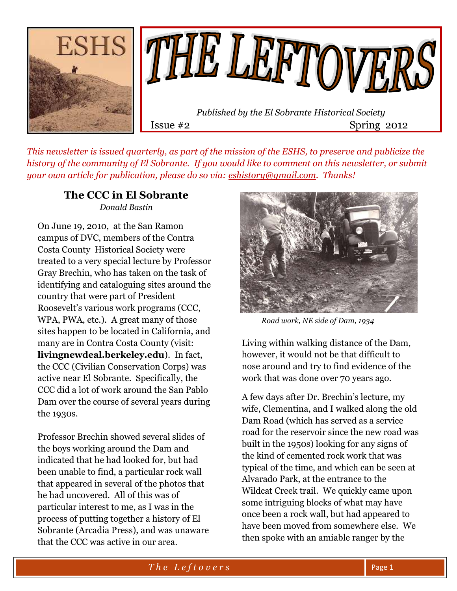

*This newsletter is issued quarterly, as part of the mission of the ESHS, to preserve and publicize the history of the community of El Sobrante. If you would like to comment on this newsletter, or submit your own article for publication, please do so via: [eshistory@gmail.com.](mailto:eshistory@gmail.com) Thanks!*

#### **The CCC in El Sobrante** *Donald Bastin*

On June 19, 2010, at the San Ramon campus of DVC, members of the Contra Costa County Historical Society were treated to a very special lecture by Professor Gray Brechin, who has taken on the task of identifying and cataloguing sites around the country that were part of President Roosevelt's various work programs (CCC, WPA, PWA, etc.). A great many of those sites happen to be located in California, and many are in Contra Costa County (visit: **livingnewdeal.berkeley.edu**). In fact, the CCC (Civilian Conservation Corps) was active near El Sobrante. Specifically, the CCC did a lot of work around the San Pablo Dam over the course of several years during the 1930s.

Professor Brechin showed several slides of the boys working around the Dam and indicated that he had looked for, but had been unable to find, a particular rock wall that appeared in several of the photos that he had uncovered. All of this was of particular interest to me, as I was in the process of putting together a history of El Sobrante (Arcadia Press), and was unaware that the CCC was active in our area.



 *Road work, NE side of Dam, 1934*

Living within walking distance of the Dam, however, it would not be that difficult to nose around and try to find evidence of the work that was done over 70 years ago.

A few days after Dr. Brechin's lecture, my wife, Clementina, and I walked along the old Dam Road (which has served as a service road for the reservoir since the new road was built in the 1950s) looking for any signs of the kind of cemented rock work that was typical of the time, and which can be seen at Alvarado Park, at the entrance to the Wildcat Creek trail. We quickly came upon some intriguing blocks of what may have once been a rock wall, but had appeared to have been moved from somewhere else. We then spoke with an amiable ranger by the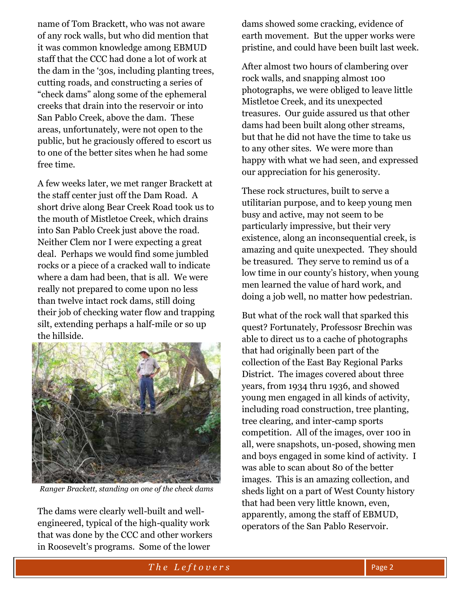name of Tom Brackett, who was not aware of any rock walls, but who did mention that it was common knowledge among EBMUD staff that the CCC had done a lot of work at the dam in the '30s, including planting trees, cutting roads, and constructing a series of "check dams" along some of the ephemeral creeks that drain into the reservoir or into San Pablo Creek, above the dam. These areas, unfortunately, were not open to the public, but he graciously offered to escort us to one of the better sites when he had some free time.

A few weeks later, we met ranger Brackett at the staff center just off the Dam Road. A short drive along Bear Creek Road took us to the mouth of Mistletoe Creek, which drains into San Pablo Creek just above the road. Neither Clem nor I were expecting a great deal. Perhaps we would find some jumbled rocks or a piece of a cracked wall to indicate where a dam had been, that is all. We were really not prepared to come upon no less than twelve intact rock dams, still doing their job of checking water flow and trapping silt, extending perhaps a half-mile or so up the hillside.



*Ranger Brackett, standing on one of the check dams*

The dams were clearly well-built and wellengineered, typical of the high-quality work that was done by the CCC and other workers in Roosevelt's programs. Some of the lower

dams showed some cracking, evidence of earth movement. But the upper works were pristine, and could have been built last week.

After almost two hours of clambering over rock walls, and snapping almost 100 photographs, we were obliged to leave little Mistletoe Creek, and its unexpected treasures. Our guide assured us that other dams had been built along other streams, but that he did not have the time to take us to any other sites. We were more than happy with what we had seen, and expressed our appreciation for his generosity.

These rock structures, built to serve a utilitarian purpose, and to keep young men busy and active, may not seem to be particularly impressive, but their very existence, along an inconsequential creek, is amazing and quite unexpected. They should be treasured. They serve to remind us of a low time in our county's history, when young men learned the value of hard work, and doing a job well, no matter how pedestrian.

But what of the rock wall that sparked this quest? Fortunately, Professosr Brechin was able to direct us to a cache of photographs that had originally been part of the collection of the East Bay Regional Parks District. The images covered about three years, from 1934 thru 1936, and showed young men engaged in all kinds of activity, including road construction, tree planting, tree clearing, and inter-camp sports competition. All of the images, over 100 in all, were snapshots, un-posed, showing men and boys engaged in some kind of activity. I was able to scan about 80 of the better images. This is an amazing collection, and sheds light on a part of West County history that had been very little known, even, apparently, among the staff of EBMUD, operators of the San Pablo Reservoir.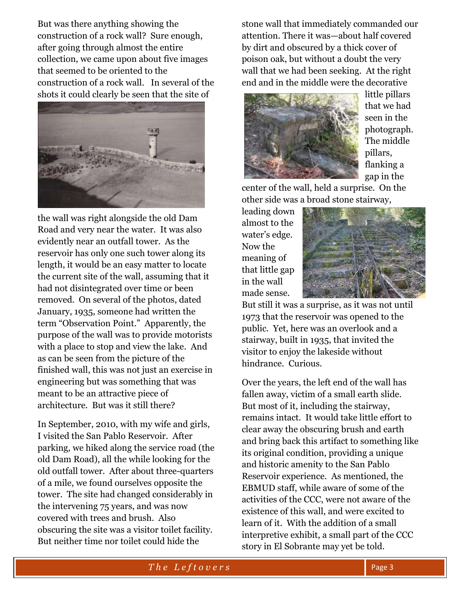But was there anything showing the construction of a rock wall? Sure enough, after going through almost the entire collection, we came upon about five images that seemed to be oriented to the construction of a rock wall. In several of the shots it could clearly be seen that the site of



the wall was right alongside the old Dam Road and very near the water. It was also evidently near an outfall tower. As the reservoir has only one such tower along its length, it would be an easy matter to locate the current site of the wall, assuming that it had not disintegrated over time or been removed. On several of the photos, dated January, 1935, someone had written the term "Observation Point." Apparently, the purpose of the wall was to provide motorists with a place to stop and view the lake. And as can be seen from the picture of the finished wall, this was not just an exercise in engineering but was something that was meant to be an attractive piece of architecture. But was it still there?

In September, 2010, with my wife and girls, I visited the San Pablo Reservoir. After parking, we hiked along the service road (the old Dam Road), all the while looking for the old outfall tower. After about three-quarters of a mile, we found ourselves opposite the tower. The site had changed considerably in the intervening 75 years, and was now covered with trees and brush. Also obscuring the site was a visitor toilet facility. But neither time nor toilet could hide the

stone wall that immediately commanded our attention. There it was—about half covered by dirt and obscured by a thick cover of poison oak, but without a doubt the very wall that we had been seeking. At the right end and in the middle were the decorative



little pillars that we had seen in the photograph. The middle pillars, flanking a gap in the

center of the wall, held a surprise. On the other side was a broad stone stairway,

leading down almost to the water's edge. Now the meaning of that little gap in the wall made sense.



But still it was a surprise, as it was not until 1973 that the reservoir was opened to the public. Yet, here was an overlook and a stairway, built in 1935, that invited the visitor to enjoy the lakeside without hindrance. Curious.

Over the years, the left end of the wall has fallen away, victim of a small earth slide. But most of it, including the stairway, remains intact. It would take little effort to clear away the obscuring brush and earth and bring back this artifact to something like its original condition, providing a unique and historic amenity to the San Pablo Reservoir experience. As mentioned, the EBMUD staff, while aware of some of the activities of the CCC, were not aware of the existence of this wall, and were excited to learn of it. With the addition of a small interpretive exhibit, a small part of the CCC story in El Sobrante may yet be told.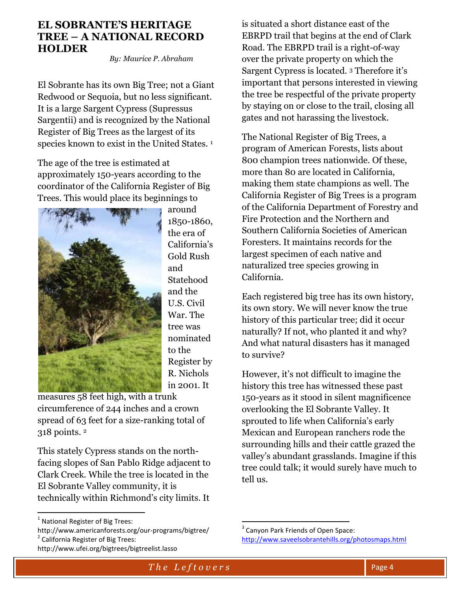#### **EL SOBRANTE'S HERITAGE TREE – A NATIONAL RECORD HOLDER**

 *By: Maurice P. Abraham* 

El Sobrante has its own Big Tree; not a Giant Redwood or Sequoia, but no less significant. It is a large Sargent Cypress (Supressus Sargentii) and is recognized by the National Register of Big Trees as the largest of its species known to exist in the United States.<sup>1</sup>

The age of the tree is estimated at approximately 150-years according to the coordinator of the California Register of Big Trees. This would place its beginnings to



around 1850-1860, the era of California's Gold Rush and Statehood and the U.S. Civil War. The tree was nominated to the Register by R. Nichols in 2001. It

measures 58 feet high, with a trunk circumference of 244 inches and a crown spread of 63 feet for a size-ranking total of 318 points. <sup>2</sup>

This stately Cypress stands on the northfacing slopes of San Pablo Ridge adjacent to Clark Creek. While the tree is located in the El Sobrante Valley community, it is technically within Richmond's city limits. It

 $\overline{a}$ 

is situated a short distance east of the EBRPD trail that begins at the end of Clark Road. The EBRPD trail is a right-of-way over the private property on which the Sargent Cypress is located. <sup>3</sup> Therefore it's important that persons interested in viewing the tree be respectful of the private property by staying on or close to the trail, closing all gates and not harassing the livestock.

The National Register of Big Trees, a program of American Forests, lists about 800 champion trees nationwide. Of these, more than 80 are located in California, making them state champions as well. The California Register of Big Trees is a program of the California Department of Forestry and Fire Protection and the Northern and Southern California Societies of American Foresters. It maintains records for the largest specimen of each native and naturalized tree species growing in California.

Each registered big tree has its own history, its own story. We will never know the true history of this particular tree; did it occur naturally? If not, who planted it and why? And what natural disasters has it managed to survive?

However, it's not difficult to imagine the history this tree has witnessed these past 150-years as it stood in silent magnificence overlooking the El Sobrante Valley. It sprouted to life when California's early Mexican and European ranchers rode the surrounding hills and their cattle grazed the valley's abundant grasslands. Imagine if this tree could talk; it would surely have much to tell us.

 $\overline{a}$ 

<sup>&</sup>lt;sup>1</sup> National Register of Big Trees:

http://www.americanforests.org/our-programs/bigtree/ <sup>2</sup> California Register of Big Trees:

http://www.ufei.org/bigtrees/bigtreelist.lasso

<sup>&</sup>lt;sup>3</sup> Canyon Park Friends of Open Space: <http://www.saveelsobrantehills.org/photosmaps.html>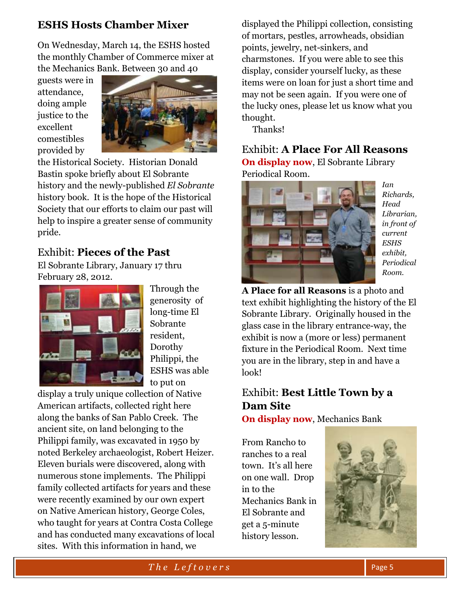## **ESHS Hosts Chamber Mixer**

On Wednesday, March 14, the ESHS hosted the monthly Chamber of Commerce mixer at the Mechanics Bank. Between 30 and 40

guests were in attendance, doing ample justice to the excellent comestibles provided by



the Historical Society. Historian Donald Bastin spoke briefly about El Sobrante history and the newly-published *El Sobrante* history book. It is the hope of the Historical Society that our efforts to claim our past will help to inspire a greater sense of community pride.

## Exhibit: **Pieces of the Past**

El Sobrante Library, January 17 thru February 28, 2012.



Through the generosity of long-time El Sobrante resident, Dorothy Philippi, the ESHS was able to put on

display a truly unique collection of Native American artifacts, collected right here along the banks of San Pablo Creek. The ancient site, on land belonging to the Philippi family, was excavated in 1950 by noted Berkeley archaeologist, Robert Heizer. Eleven burials were discovered, along with numerous stone implements. The Philippi family collected artifacts for years and these were recently examined by our own expert on Native American history, George Coles, who taught for years at Contra Costa College and has conducted many excavations of local sites. With this information in hand, we

displayed the Philippi collection, consisting of mortars, pestles, arrowheads, obsidian points, jewelry, net-sinkers, and charmstones. If you were able to see this display, consider yourself lucky, as these items were on loan for just a short time and may not be seen again. If you were one of the lucky ones, please let us know what you thought.

Thanks!

Exhibit: **A Place For All Reasons On display now**, El Sobrante Library Periodical Room.



*Ian Richards, Head Librarian, in front of current ESHS exhibit, Periodical Room.*

**A Place for all Reasons** is a photo and text exhibit highlighting the history of the El Sobrante Library. Originally housed in the glass case in the library entrance-way, the exhibit is now a (more or less) permanent fixture in the Periodical Room. Next time you are in the library, step in and have a look!

## Exhibit: **Best Little Town by a Dam Site**

**On display now**, Mechanics Bank

From Rancho to ranches to a real town. It's all here on one wall. Drop in to the Mechanics Bank in El Sobrante and get a 5-minute history lesson.

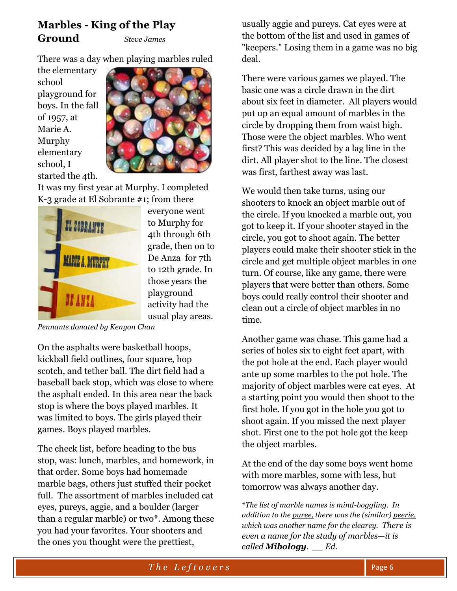#### **Marbles - King of the Play Ground** *Steve James*

There was a day when playing marbles ruled

the elementary school playground for boys. In the fall of 1957, at Marie A. Murphy elementary school, I started the 4th.



It was my first year at Murphy. I completed K-3 grade at El Sobrante #1; from there



everyone went to Murphy for 4th through 6th grade, then on to De Anza for 7th to 12th grade. In those years the playground activity had the usual play areas.

*Pennants donated by Kenyon Chan*

On the asphalts were basketball hoops, kickball field outlines, four square, hop scotch, and tether ball. The dirt field had a baseball back stop, which was close to where the asphalt ended. In this area near the back stop is where the boys played marbles. It was limited to boys. The girls played their games. Boys played marbles.

The check list, before heading to the bus stop, was: lunch, marbles, and homework, in that order. Some boys had homemade marble bags, others just stuffed their pocket full. The assortment of marbles included cat eyes, pureys, aggie, and a boulder (larger than a regular marble) or two\*. Among these you had your favorites. Your shooters and the ones you thought were the prettiest,

usually aggie and pureys. Cat eyes were at the bottom of the list and used in games of "keepers." Losing them in a game was no big deal.

There were various games we played. The basic one was a circle drawn in the dirt about six feet in diameter. All players would put up an equal amount of marbles in the circle by dropping them from waist high. Those were the object marbles. Who went first? This was decided by a lag line in the dirt. All player shot to the line. The closest was first, farthest away was last.

We would then take turns, using our shooters to knock an object marble out of the circle. If you knocked a marble out, you got to keep it. If your shooter stayed in the circle, you got to shoot again. The better players could make their shooter stick in the circle and get multiple object marbles in one turn. Of course, like any game, there were players that were better than others. Some boys could really control their shooter and clean out a circle of object marbles in no time.

Another game was chase. This game had a series of holes six to eight feet apart, with the pot hole at the end. Each player would ante up some marbles to the pot hole. The majority of object marbles were cat eyes. At a starting point you would then shoot to the first hole. If you got in the hole you got to shoot again. If you missed the next player shot. First one to the pot hole got the keep the object marbles.

At the end of the day some boys went home with more marbles, some with less, but tomorrow was always another day.

\**The list of marble names is mind-boggling. In addition to the puree, there was the (similar) peerie, which was another name for the clearey. There is even a name for the study of marbles—it is called Mibology. \_\_ Ed.*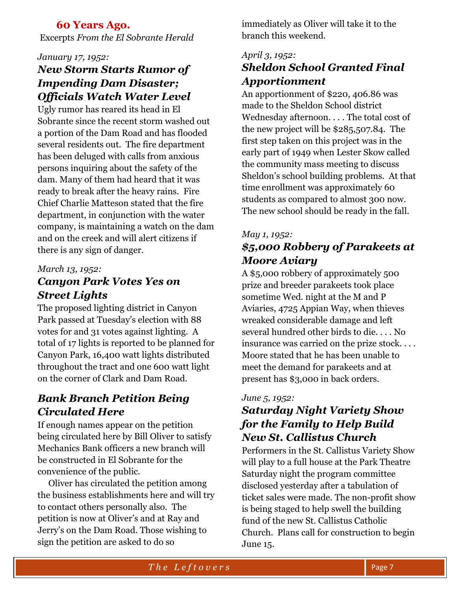#### **60 Years Ago.**

Excerpts *From the El Sobrante Herald*

#### *January 17, 1952:*

## *New Storm Starts Rumor of Impending Dam Disaster; Officials Watch Water Level*

Ugly rumor has reared its head in El Sobrante since the recent storm washed out a portion of the Dam Road and has flooded several residents out. The fire department has been deluged with calls from anxious persons inquiring about the safety of the dam. Many of them had heard that it was ready to break after the heavy rains. Fire Chief Charlie Matteson stated that the fire department, in conjunction with the water company, is maintaining a watch on the dam and on the creek and will alert citizens if there is any sign of danger.

#### *March 13, 1952:*

## *Canyon Park Votes Yes on Street Lights*

The proposed lighting district in Canyon Park passed at Tuesday's election with 88 votes for and 31 votes against lighting. A total of 17 lights is reported to be planned for Canyon Park, 16,400 watt lights distributed throughout the tract and one 600 watt light on the corner of Clark and Dam Road.

## *Bank Branch Petition Being Circulated Here*

If enough names appear on the petition being circulated here by Bill Oliver to satisfy Mechanics Bank officers a new branch will be constructed in El Sobrante for the convenience of the public.

 Oliver has circulated the petition among the business establishments here and will try to contact others personally also. The petition is now at Oliver's and at Ray and Jerry's on the Dam Road. Those wishing to sign the petition are asked to do so

immediately as Oliver will take it to the branch this weekend.

#### *April 3, 1952: Sheldon School Granted Final Apportionment*

An apportionment of \$220, 406.86 was made to the Sheldon School district Wednesday afternoon. . . . The total cost of the new project will be \$285,507.84. The first step taken on this project was in the early part of 1949 when Lester Skow called the community mass meeting to discuss Sheldon's school building problems. At that time enrollment was approximately 60 students as compared to almost 300 now. The new school should be ready in the fall.

#### *May 1, 1952:*

## *\$5,000 Robbery of Parakeets at Moore Aviary*

A \$5,000 robbery of approximately 500 prize and breeder parakeets took place sometime Wed. night at the M and P Aviaries, 4725 Appian Way, when thieves wreaked considerable damage and left several hundred other birds to die. . . . No insurance was carried on the prize stock. . . . Moore stated that he has been unable to meet the demand for parakeets and at present has \$3,000 in back orders.

#### *June 5, 1952:*

## *Saturday Night Variety Show for the Family to Help Build New St. Callistus Church*

Performers in the St. Callistus Variety Show will play to a full house at the Park Theatre Saturday night the program committee disclosed yesterday after a tabulation of ticket sales were made. The non-profit show is being staged to help swell the building fund of the new St. Callistus Catholic Church. Plans call for construction to begin June 15.